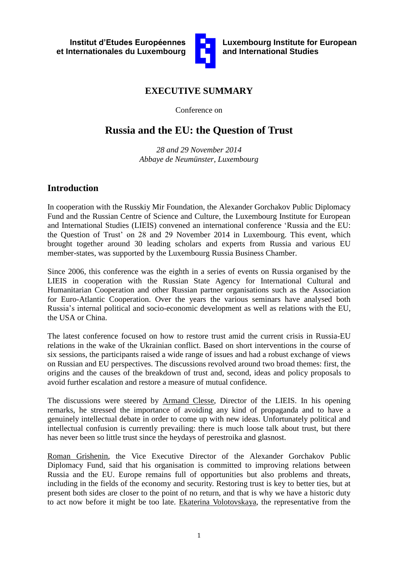

**Luxembourg Institute for European and International Studies**

## **EXECUTIVE SUMMARY**

Conference on

# **Russia and the EU: the Question of Trust**

*28 and 29 November 2014 Abbaye de Neumünster, Luxembourg*

## **Introduction**

In cooperation with the Russkiy Mir Foundation, the Alexander Gorchakov Public Diplomacy Fund and the Russian Centre of Science and Culture, the Luxembourg Institute for European and International Studies (LIEIS) convened an international conference 'Russia and the EU: the Question of Trust' on 28 and 29 November 2014 in Luxembourg. This event, which brought together around 30 leading scholars and experts from Russia and various EU member-states, was supported by the Luxembourg Russia Business Chamber.

Since 2006, this conference was the eighth in a series of events on Russia organised by the LIEIS in cooperation with the Russian State Agency for International Cultural and Humanitarian Cooperation and other Russian partner organisations such as the Association for Euro-Atlantic Cooperation. Over the years the various seminars have analysed both Russia's internal political and socio-economic development as well as relations with the EU, the USA or China.

The latest conference focused on how to restore trust amid the current crisis in Russia-EU relations in the wake of the Ukrainian conflict. Based on short interventions in the course of six sessions, the participants raised a wide range of issues and had a robust exchange of views on Russian and EU perspectives. The discussions revolved around two broad themes: first, the origins and the causes of the breakdown of trust and, second, ideas and policy proposals to avoid further escalation and restore a measure of mutual confidence.

The discussions were steered by Armand Clesse, Director of the LIEIS. In his opening remarks, he stressed the importance of avoiding any kind of propaganda and to have a genuinely intellectual debate in order to come up with new ideas. Unfortunately political and intellectual confusion is currently prevailing: there is much loose talk about trust, but there has never been so little trust since the heydays of perestroika and glasnost.

Roman Grishenin, the Vice Executive Director of the Alexander Gorchakov Public Diplomacy Fund, said that his organisation is committed to improving relations between Russia and the EU. Europe remains full of opportunities but also problems and threats, including in the fields of the economy and security. Restoring trust is key to better ties, but at present both sides are closer to the point of no return, and that is why we have a historic duty to act now before it might be too late. Ekaterina Volotovskaya, the representative from the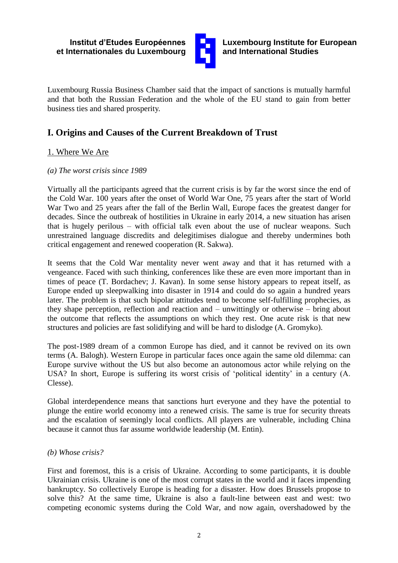

**Luxembourg Institute for European and International Studies**

Luxembourg Russia Business Chamber said that the impact of sanctions is mutually harmful and that both the Russian Federation and the whole of the EU stand to gain from better business ties and shared prosperity.

## **I. Origins and Causes of the Current Breakdown of Trust**

## 1. Where We Are

### *(a) The worst crisis since 1989*

Virtually all the participants agreed that the current crisis is by far the worst since the end of the Cold War. 100 years after the onset of World War One, 75 years after the start of World War Two and 25 years after the fall of the Berlin Wall, Europe faces the greatest danger for decades. Since the outbreak of hostilities in Ukraine in early 2014, a new situation has arisen that is hugely perilous – with official talk even about the use of nuclear weapons. Such unrestrained language discredits and delegitimises dialogue and thereby undermines both critical engagement and renewed cooperation (R. Sakwa).

It seems that the Cold War mentality never went away and that it has returned with a vengeance. Faced with such thinking, conferences like these are even more important than in times of peace (T. Bordachev; J. Kavan). In some sense history appears to repeat itself, as Europe ended up sleepwalking into disaster in 1914 and could do so again a hundred years later. The problem is that such bipolar attitudes tend to become self-fulfilling prophecies, as they shape perception, reflection and reaction and – unwittingly or otherwise – bring about the outcome that reflects the assumptions on which they rest. One acute risk is that new structures and policies are fast solidifying and will be hard to dislodge (A. Gromyko).

The post-1989 dream of a common Europe has died, and it cannot be revived on its own terms (A. Balogh). Western Europe in particular faces once again the same old dilemma: can Europe survive without the US but also become an autonomous actor while relying on the USA? In short, Europe is suffering its worst crisis of 'political identity' in a century (A. Clesse).

Global interdependence means that sanctions hurt everyone and they have the potential to plunge the entire world economy into a renewed crisis. The same is true for security threats and the escalation of seemingly local conflicts. All players are vulnerable, including China because it cannot thus far assume worldwide leadership (M. Entin).

#### *(b) Whose crisis?*

First and foremost, this is a crisis of Ukraine. According to some participants, it is double Ukrainian crisis. Ukraine is one of the most corrupt states in the world and it faces impending bankruptcy. So collectively Europe is heading for a disaster. How does Brussels propose to solve this? At the same time, Ukraine is also a fault-line between east and west: two competing economic systems during the Cold War, and now again, overshadowed by the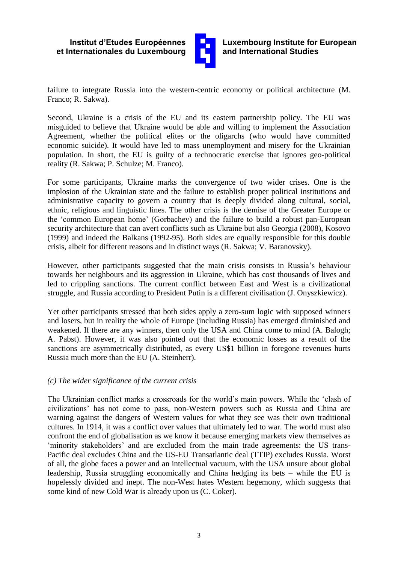

**Luxembourg Institute for European and International Studies**

failure to integrate Russia into the western-centric economy or political architecture (M. Franco; R. Sakwa).

Second, Ukraine is a crisis of the EU and its eastern partnership policy. The EU was misguided to believe that Ukraine would be able and willing to implement the Association Agreement, whether the political elites or the oligarchs (who would have committed economic suicide). It would have led to mass unemployment and misery for the Ukrainian population. In short, the EU is guilty of a technocratic exercise that ignores geo-political reality (R. Sakwa; P. Schulze; M. Franco).

For some participants, Ukraine marks the convergence of two wider crises. One is the implosion of the Ukrainian state and the failure to establish proper political institutions and administrative capacity to govern a country that is deeply divided along cultural, social, ethnic, religious and linguistic lines. The other crisis is the demise of the Greater Europe or the 'common European home' (Gorbachev) and the failure to build a robust pan-European security architecture that can avert conflicts such as Ukraine but also Georgia (2008), Kosovo (1999) and indeed the Balkans (1992-95). Both sides are equally responsible for this double crisis, albeit for different reasons and in distinct ways (R. Sakwa; V. Baranovsky).

However, other participants suggested that the main crisis consists in Russia's behaviour towards her neighbours and its aggression in Ukraine, which has cost thousands of lives and led to crippling sanctions. The current conflict between East and West is a civilizational struggle, and Russia according to President Putin is a different civilisation (J. Onyszkiewicz).

Yet other participants stressed that both sides apply a zero-sum logic with supposed winners and losers, but in reality the whole of Europe (including Russia) has emerged diminished and weakened. If there are any winners, then only the USA and China come to mind (A. Balogh; A. Pabst). However, it was also pointed out that the economic losses as a result of the sanctions are asymmetrically distributed, as every US\$1 billion in foregone revenues hurts Russia much more than the EU (A. Steinherr).

#### *(c) The wider significance of the current crisis*

The Ukrainian conflict marks a crossroads for the world's main powers. While the 'clash of civilizations' has not come to pass, non-Western powers such as Russia and China are warning against the dangers of Western values for what they see was their own traditional cultures. In 1914, it was a conflict over values that ultimately led to war. The world must also confront the end of globalisation as we know it because emerging markets view themselves as 'minority stakeholders' and are excluded from the main trade agreements: the US trans-Pacific deal excludes China and the US-EU Transatlantic deal (TTIP) excludes Russia. Worst of all, the globe faces a power and an intellectual vacuum, with the USA unsure about global leadership, Russia struggling economically and China hedging its bets – while the EU is hopelessly divided and inept. The non-West hates Western hegemony, which suggests that some kind of new Cold War is already upon us (C. Coker).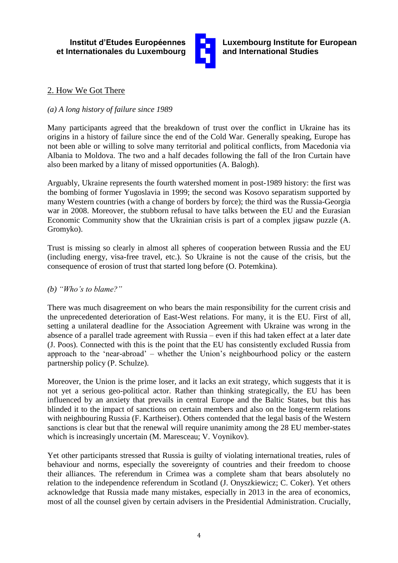

**Luxembourg Institute for European and International Studies**

## 2. How We Got There

### *(a) A long history of failure since 1989*

Many participants agreed that the breakdown of trust over the conflict in Ukraine has its origins in a history of failure since the end of the Cold War. Generally speaking, Europe has not been able or willing to solve many territorial and political conflicts, from Macedonia via Albania to Moldova. The two and a half decades following the fall of the Iron Curtain have also been marked by a litany of missed opportunities (A. Balogh).

Arguably, Ukraine represents the fourth watershed moment in post-1989 history: the first was the bombing of former Yugoslavia in 1999; the second was Kosovo separatism supported by many Western countries (with a change of borders by force); the third was the Russia-Georgia war in 2008. Moreover, the stubborn refusal to have talks between the EU and the Eurasian Economic Community show that the Ukrainian crisis is part of a complex jigsaw puzzle (A. Gromyko).

Trust is missing so clearly in almost all spheres of cooperation between Russia and the EU (including energy, visa-free travel, etc.). So Ukraine is not the cause of the crisis, but the consequence of erosion of trust that started long before (O. Potemkina).

#### *(b) "Who's to blame?"*

There was much disagreement on who bears the main responsibility for the current crisis and the unprecedented deterioration of East-West relations. For many, it is the EU. First of all, setting a unilateral deadline for the Association Agreement with Ukraine was wrong in the absence of a parallel trade agreement with Russia – even if this had taken effect at a later date (J. Poos). Connected with this is the point that the EU has consistently excluded Russia from approach to the 'near-abroad' – whether the Union's neighbourhood policy or the eastern partnership policy (P. Schulze).

Moreover, the Union is the prime loser, and it lacks an exit strategy, which suggests that it is not yet a serious geo-political actor. Rather than thinking strategically, the EU has been influenced by an anxiety that prevails in central Europe and the Baltic States, but this has blinded it to the impact of sanctions on certain members and also on the long-term relations with neighbouring Russia (F. Kartheiser). Others contended that the legal basis of the Western sanctions is clear but that the renewal will require unanimity among the 28 EU member-states which is increasingly uncertain (M. Maresceau; V. Voynikov).

Yet other participants stressed that Russia is guilty of violating international treaties, rules of behaviour and norms, especially the sovereignty of countries and their freedom to choose their alliances. The referendum in Crimea was a complete sham that bears absolutely no relation to the independence referendum in Scotland (J. Onyszkiewicz; C. Coker). Yet others acknowledge that Russia made many mistakes, especially in 2013 in the area of economics, most of all the counsel given by certain advisers in the Presidential Administration. Crucially,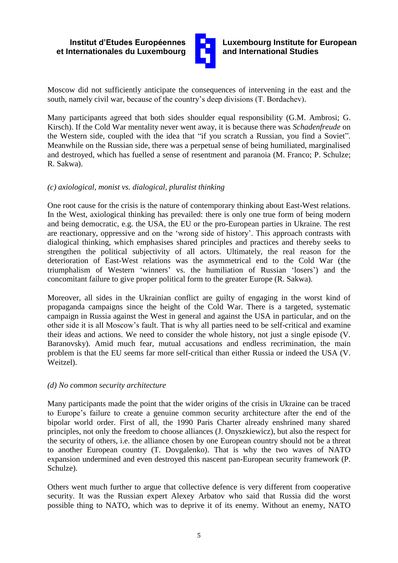

**Luxembourg Institute for European and International Studies**

Moscow did not sufficiently anticipate the consequences of intervening in the east and the south, namely civil war, because of the country's deep divisions (T. Bordachev).

Many participants agreed that both sides shoulder equal responsibility (G.M. Ambrosi; G. Kirsch). If the Cold War mentality never went away, it is because there was *Schadenfreude* on the Western side, coupled with the idea that "if you scratch a Russian, you find a Soviet". Meanwhile on the Russian side, there was a perpetual sense of being humiliated, marginalised and destroyed, which has fuelled a sense of resentment and paranoia (M. Franco; P. Schulze; R. Sakwa).

#### *(c) axiological, monist vs. dialogical, pluralist thinking*

One root cause for the crisis is the nature of contemporary thinking about East-West relations. In the West, axiological thinking has prevailed: there is only one true form of being modern and being democratic, e.g. the USA, the EU or the pro-European parties in Ukraine. The rest are reactionary, oppressive and on the 'wrong side of history'. This approach contrasts with dialogical thinking, which emphasises shared principles and practices and thereby seeks to strengthen the political subjectivity of all actors. Ultimately, the real reason for the deterioration of East-West relations was the asymmetrical end to the Cold War (the triumphalism of Western 'winners' vs. the humiliation of Russian 'losers') and the concomitant failure to give proper political form to the greater Europe (R. Sakwa).

Moreover, all sides in the Ukrainian conflict are guilty of engaging in the worst kind of propaganda campaigns since the height of the Cold War. There is a targeted, systematic campaign in Russia against the West in general and against the USA in particular, and on the other side it is all Moscow's fault. That is why all parties need to be self-critical and examine their ideas and actions. We need to consider the whole history, not just a single episode (V. Baranovsky). Amid much fear, mutual accusations and endless recrimination, the main problem is that the EU seems far more self-critical than either Russia or indeed the USA (V. Weitzel).

#### *(d) No common security architecture*

Many participants made the point that the wider origins of the crisis in Ukraine can be traced to Europe's failure to create a genuine common security architecture after the end of the bipolar world order. First of all, the 1990 Paris Charter already enshrined many shared principles, not only the freedom to choose alliances (J. Onyszkiewicz), but also the respect for the security of others, i.e. the alliance chosen by one European country should not be a threat to another European country (T. Dovgalenko). That is why the two waves of NATO expansion undermined and even destroyed this nascent pan-European security framework (P. Schulze).

Others went much further to argue that collective defence is very different from cooperative security. It was the Russian expert Alexey Arbatov who said that Russia did the worst possible thing to NATO, which was to deprive it of its enemy. Without an enemy, NATO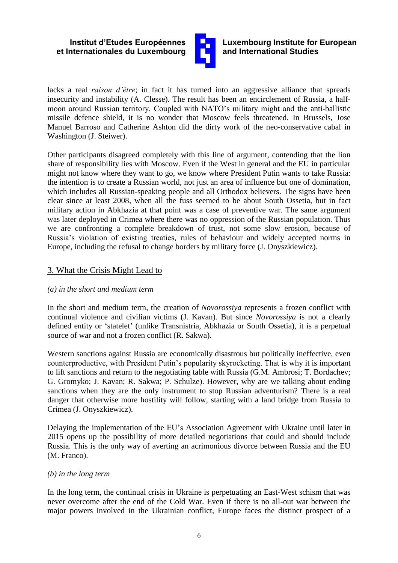

**Luxembourg Institute for European and International Studies**

lacks a real *raison d'être*; in fact it has turned into an aggressive alliance that spreads insecurity and instability (A. Clesse). The result has been an encirclement of Russia, a halfmoon around Russian territory. Coupled with NATO's military might and the anti-ballistic missile defence shield, it is no wonder that Moscow feels threatened. In Brussels, Jose Manuel Barroso and Catherine Ashton did the dirty work of the neo-conservative cabal in Washington (J. Steiwer).

Other participants disagreed completely with this line of argument, contending that the lion share of responsibility lies with Moscow. Even if the West in general and the EU in particular might not know where they want to go, we know where President Putin wants to take Russia: the intention is to create a Russian world, not just an area of influence but one of domination, which includes all Russian-speaking people and all Orthodox believers. The signs have been clear since at least 2008, when all the fuss seemed to be about South Ossetia, but in fact military action in Abkhazia at that point was a case of preventive war. The same argument was later deployed in Crimea where there was no oppression of the Russian population. Thus we are confronting a complete breakdown of trust, not some slow erosion, because of Russia's violation of existing treaties, rules of behaviour and widely accepted norms in Europe, including the refusal to change borders by military force (J. Onyszkiewicz).

## 3. What the Crisis Might Lead to

## *(a) in the short and medium term*

In the short and medium term, the creation of *Novorossiya* represents a frozen conflict with continual violence and civilian victims (J. Kavan). But since *Novorossiya* is not a clearly defined entity or 'statelet' (unlike Transnistria, Abkhazia or South Ossetia), it is a perpetual source of war and not a frozen conflict (R. Sakwa).

Western sanctions against Russia are economically disastrous but politically ineffective, even counterproductive, with President Putin's popularity skyrocketing. That is why it is important to lift sanctions and return to the negotiating table with Russia (G.M. Ambrosi; T. Bordachev; G. Gromyko; J. Kavan; R. Sakwa; P. Schulze). However, why are we talking about ending sanctions when they are the only instrument to stop Russian adventurism? There is a real danger that otherwise more hostility will follow, starting with a land bridge from Russia to Crimea (J. Onyszkiewicz).

Delaying the implementation of the EU's Association Agreement with Ukraine until later in 2015 opens up the possibility of more detailed negotiations that could and should include Russia. This is the only way of averting an acrimonious divorce between Russia and the EU (M. Franco).

#### *(b) in the long term*

In the long term, the continual crisis in Ukraine is perpetuating an East-West schism that was never overcome after the end of the Cold War. Even if there is no all-out war between the major powers involved in the Ukrainian conflict, Europe faces the distinct prospect of a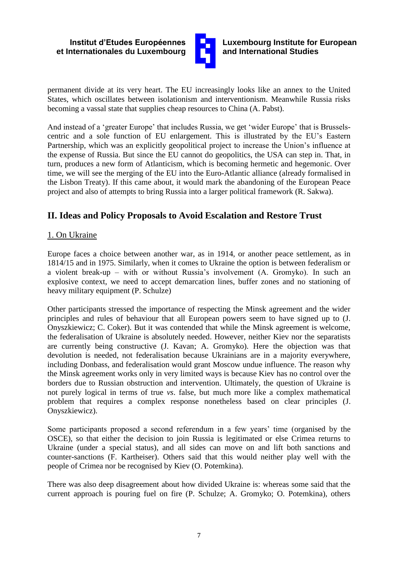

**Luxembourg Institute for European and International Studies**

permanent divide at its very heart. The EU increasingly looks like an annex to the United States, which oscillates between isolationism and interventionism. Meanwhile Russia risks becoming a vassal state that supplies cheap resources to China (A. Pabst).

And instead of a 'greater Europe' that includes Russia, we get 'wider Europe' that is Brusselscentric and a sole function of EU enlargement. This is illustrated by the EU's Eastern Partnership, which was an explicitly geopolitical project to increase the Union's influence at the expense of Russia. But since the EU cannot do geopolitics, the USA can step in. That, in turn, produces a new form of Atlanticism, which is becoming hermetic and hegemonic. Over time, we will see the merging of the EU into the Euro-Atlantic alliance (already formalised in the Lisbon Treaty). If this came about, it would mark the abandoning of the European Peace project and also of attempts to bring Russia into a larger political framework (R. Sakwa).

## **II. Ideas and Policy Proposals to Avoid Escalation and Restore Trust**

## 1. On Ukraine

Europe faces a choice between another war, as in 1914, or another peace settlement, as in 1814/15 and in 1975. Similarly, when it comes to Ukraine the option is between federalism or a violent break-up – with or without Russia's involvement (A. Gromyko). In such an explosive context, we need to accept demarcation lines, buffer zones and no stationing of heavy military equipment (P. Schulze)

Other participants stressed the importance of respecting the Minsk agreement and the wider principles and rules of behaviour that all European powers seem to have signed up to (J. Onyszkiewicz; C. Coker). But it was contended that while the Minsk agreement is welcome, the federalisation of Ukraine is absolutely needed. However, neither Kiev nor the separatists are currently being constructive (J. Kavan; A. Gromyko). Here the objection was that devolution is needed, not federalisation because Ukrainians are in a majority everywhere, including Donbass, and federalisation would grant Moscow undue influence. The reason why the Minsk agreement works only in very limited ways is because Kiev has no control over the borders due to Russian obstruction and intervention. Ultimately, the question of Ukraine is not purely logical in terms of true *vs*. false, but much more like a complex mathematical problem that requires a complex response nonetheless based on clear principles (J. Onyszkiewicz).

Some participants proposed a second referendum in a few years' time (organised by the OSCE), so that either the decision to join Russia is legitimated or else Crimea returns to Ukraine (under a special status), and all sides can move on and lift both sanctions and counter-sanctions (F. Kartheiser). Others said that this would neither play well with the people of Crimea nor be recognised by Kiev (O. Potemkina).

There was also deep disagreement about how divided Ukraine is: whereas some said that the current approach is pouring fuel on fire (P. Schulze; A. Gromyko; O. Potemkina), others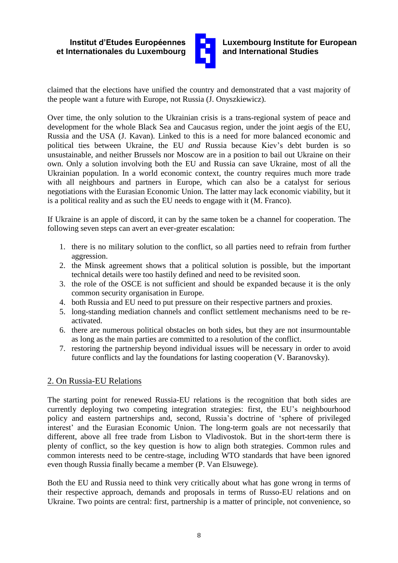

## **Luxembourg Institute for European and International Studies**

claimed that the elections have unified the country and demonstrated that a vast majority of the people want a future with Europe, not Russia (J. Onyszkiewicz).

Over time, the only solution to the Ukrainian crisis is a trans-regional system of peace and development for the whole Black Sea and Caucasus region, under the joint aegis of the EU, Russia and the USA (J. Kavan). Linked to this is a need for more balanced economic and political ties between Ukraine, the EU *and* Russia because Kiev's debt burden is so unsustainable, and neither Brussels nor Moscow are in a position to bail out Ukraine on their own. Only a solution involving both the EU and Russia can save Ukraine, most of all the Ukrainian population. In a world economic context, the country requires much more trade with all neighbours and partners in Europe, which can also be a catalyst for serious negotiations with the Eurasian Economic Union. The latter may lack economic viability, but it is a political reality and as such the EU needs to engage with it (M. Franco).

If Ukraine is an apple of discord, it can by the same token be a channel for cooperation. The following seven steps can avert an ever-greater escalation:

- 1. there is no military solution to the conflict, so all parties need to refrain from further aggression.
- 2. the Minsk agreement shows that a political solution is possible, but the important technical details were too hastily defined and need to be revisited soon.
- 3. the role of the OSCE is not sufficient and should be expanded because it is the only common security organisation in Europe.
- 4. both Russia and EU need to put pressure on their respective partners and proxies.
- 5. long-standing mediation channels and conflict settlement mechanisms need to be reactivated.
- 6. there are numerous political obstacles on both sides, but they are not insurmountable as long as the main parties are committed to a resolution of the conflict.
- 7. restoring the partnership beyond individual issues will be necessary in order to avoid future conflicts and lay the foundations for lasting cooperation (V. Baranovsky).

## 2. On Russia-EU Relations

The starting point for renewed Russia-EU relations is the recognition that both sides are currently deploying two competing integration strategies: first, the EU's neighbourhood policy and eastern partnerships and, second, Russia's doctrine of 'sphere of privileged interest' and the Eurasian Economic Union. The long-term goals are not necessarily that different, above all free trade from Lisbon to Vladivostok. But in the short-term there is plenty of conflict, so the key question is how to align both strategies. Common rules and common interests need to be centre-stage, including WTO standards that have been ignored even though Russia finally became a member (P. Van Elsuwege).

Both the EU and Russia need to think very critically about what has gone wrong in terms of their respective approach, demands and proposals in terms of Russo-EU relations and on Ukraine. Two points are central: first, partnership is a matter of principle, not convenience, so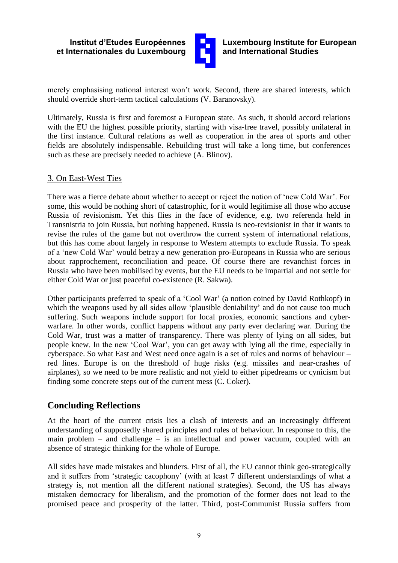

**Luxembourg Institute for European and International Studies**

merely emphasising national interest won't work. Second, there are shared interests, which should override short-term tactical calculations (V. Baranovsky).

Ultimately, Russia is first and foremost a European state. As such, it should accord relations with the EU the highest possible priority, starting with visa-free travel, possibly unilateral in the first instance. Cultural relations as well as cooperation in the area of sports and other fields are absolutely indispensable. Rebuilding trust will take a long time, but conferences such as these are precisely needed to achieve (A. Blinov).

### 3. On East-West Ties

There was a fierce debate about whether to accept or reject the notion of 'new Cold War'. For some, this would be nothing short of catastrophic, for it would legitimise all those who accuse Russia of revisionism. Yet this flies in the face of evidence, e.g. two referenda held in Transnistria to join Russia, but nothing happened. Russia is neo-revisionist in that it wants to revise the rules of the game but not overthrow the current system of international relations, but this has come about largely in response to Western attempts to exclude Russia. To speak of a 'new Cold War' would betray a new generation pro-Europeans in Russia who are serious about rapprochement, reconciliation and peace. Of course there are revanchist forces in Russia who have been mobilised by events, but the EU needs to be impartial and not settle for either Cold War or just peaceful co-existence (R. Sakwa).

Other participants preferred to speak of a 'Cool War' (a notion coined by David Rothkopf) in which the weapons used by all sides allow 'plausible deniability' and do not cause too much suffering. Such weapons include support for local proxies, economic sanctions and cyberwarfare. In other words, conflict happens without any party ever declaring war. During the Cold War, trust was a matter of transparency. There was plenty of lying on all sides, but people knew. In the new 'Cool War', you can get away with lying all the time, especially in cyberspace. So what East and West need once again is a set of rules and norms of behaviour – red lines. Europe is on the threshold of huge risks (e.g. missiles and near-crashes of airplanes), so we need to be more realistic and not yield to either pipedreams or cynicism but finding some concrete steps out of the current mess (C. Coker).

## **Concluding Reflections**

At the heart of the current crisis lies a clash of interests and an increasingly different understanding of supposedly shared principles and rules of behaviour. In response to this, the main problem – and challenge – is an intellectual and power vacuum, coupled with an absence of strategic thinking for the whole of Europe.

All sides have made mistakes and blunders. First of all, the EU cannot think geo-strategically and it suffers from 'strategic cacophony' (with at least 7 different understandings of what a strategy is, not mention all the different national strategies). Second, the US has always mistaken democracy for liberalism, and the promotion of the former does not lead to the promised peace and prosperity of the latter. Third, post-Communist Russia suffers from